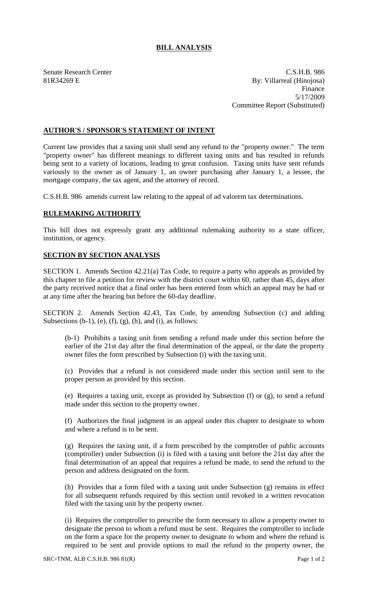## **BILL ANALYSIS**

Senate Research Center Cases and C.S.H.B. 986 81R34269 E By: Villarreal (Hinojosa) Finance 5/17/2009 Committee Report (Substituted)

## **AUTHOR'S / SPONSOR'S STATEMENT OF INTENT**

Current law provides that a taxing unit shall send any refund to the "property owner." The term "property owner" has different meanings to different taxing units and has resulted in refunds being sent to a variety of locations, leading to great confusion. Taxing units have sent refunds variously to the owner as of January 1, an owner purchasing after January 1, a lessee, the mortgage company, the tax agent, and the attorney of record.

C.S.H.B. 986 amends current law relating to the appeal of ad valorem tax determinations.

## **RULEMAKING AUTHORITY**

This bill does not expressly grant any additional rulemaking authority to a state officer, institution, or agency.

## **SECTION BY SECTION ANALYSIS**

SECTION 1. Amends Section 42.21(a) Tax Code, to require a party who appeals as provided by this chapter to file a petition for review with the district court within 60, rather than 45, days after the party received notice that a final order has been entered from which an appeal may be had or at any time after the hearing but before the 60-day deadline.

SECTION 2. Amends Section 42.43, Tax Code, by amending Subsection (c) and adding Subsections  $(b-1)$ ,  $(e)$ ,  $(f)$ ,  $(g)$ ,  $(h)$ , and  $(i)$ , as follows:

(b-1) Prohibits a taxing unit from sending a refund made under this section before the earlier of the 21st day after the final determination of the appeal, or the date the property owner files the form prescribed by Subsection (i) with the taxing unit.

(c) Provides that a refund is not considered made under this section until sent to the proper person as provided by this section.

(e) Requires a taxing unit, except as provided by Subsection (f) or (g), to send a refund made under this section to the property owner.

(f) Authorizes the final judgment in an appeal under this chapter to designate to whom and where a refund is to be sent.

(g) Requires the taxing unit, if a form prescribed by the comptroller of public accounts (comptroller) under Subsection (i) is filed with a taxing unit before the 21st day after the final determination of an appeal that requires a refund be made, to send the refund to the person and address designated on the form.

(h) Provides that a form filed with a taxing unit under Subsection (g) remains in effect for all subsequent refunds required by this section until revoked in a written revocation filed with the taxing unit by the property owner.

(i) Requires the comptroller to prescribe the form necessary to allow a property owner to designate the person to whom a refund must be sent. Requires the comptroller to include on the form a space for the property owner to designate to whom and where the refund is required to be sent and provide options to mail the refund to the property owner, the